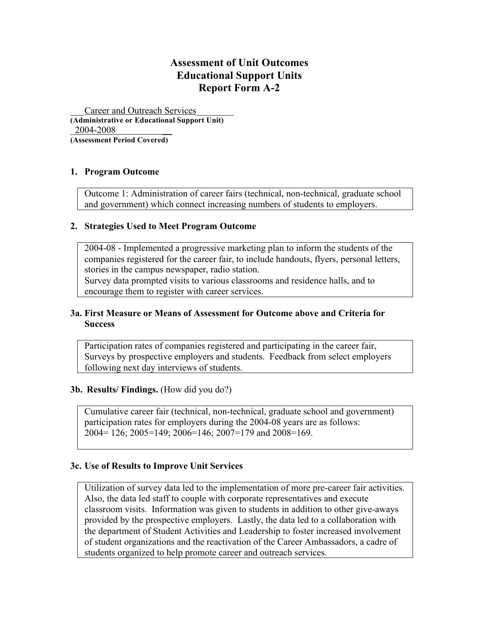# **Assessment of Unit Outcomes Educational Support Units Report Form A-2**

Career and Outreach Services **(Administrative or Educational Support Unit)** 2004-2008

**(Assessment Period Covered)**

# **1. Program Outcome**

Outcome 1: Administration of career fairs (technical, non-technical, graduate school and government) which connect increasing numbers of students to employers.

## **2. Strategies Used to Meet Program Outcome**

2004-08 - Implemented a progressive marketing plan to inform the students of the companies registered for the career fair, to include handouts, flyers, personal letters, stories in the campus newspaper, radio station.

Survey data prompted visits to various classrooms and residence halls, and to encourage them to register with career services.

# **3a. First Measure or Means of Assessment for Outcome above and Criteria for Success**

Participation rates of companies registered and participating in the career fair, Surveys by prospective employers and students. Feedback from select employers following next day interviews of students.

# **3b. Results/ Findings.** (How did you do?)

Cumulative career fair (technical, non-technical, graduate school and government) participation rates for employers during the 2004-08 years are as follows: 2004= 126; 2005=149; 2006=146; 2007=179 and 2008=169.

#### **3c. Use of Results to Improve Unit Services**

Utilization of survey data led to the implementation of more pre-career fair activities. Also, the data led staff to couple with corporate representatives and execute classroom visits. Information was given to students in addition to other give-aways provided by the prospective employers. Lastly, the data led to a collaboration with the department of Student Activities and Leadership to foster increased involvement of student organizations and the reactivation of the Career Ambassadors, a cadre of students organized to help promote career and outreach services.